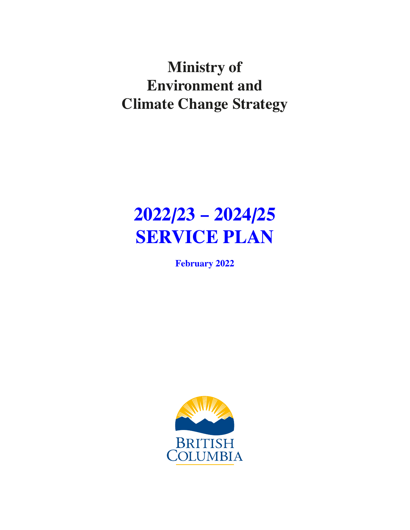# **Ministry of Environment and Climate Change Strategy**

# **2022/23 – 2024/25 SERVICE PLAN**

**February 2022**

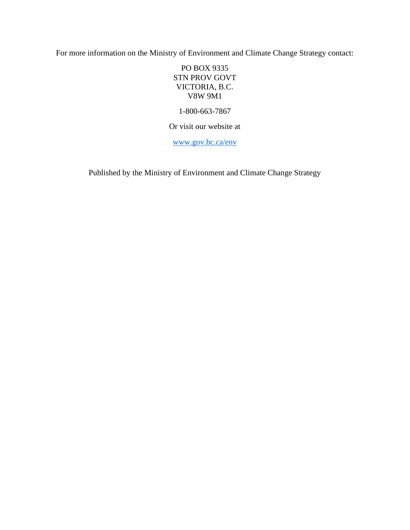For more information on the Ministry of Environment and Climate Change Strategy contact:

PO BOX 9335 STN PROV GOVT VICTORIA, B.C. V8W 9M1

1-800-663-7867

Or visit our website at

[www.gov.bc.ca/env](http://www.gov.bc.ca/env)

Published by the Ministry of Environment and Climate Change Strategy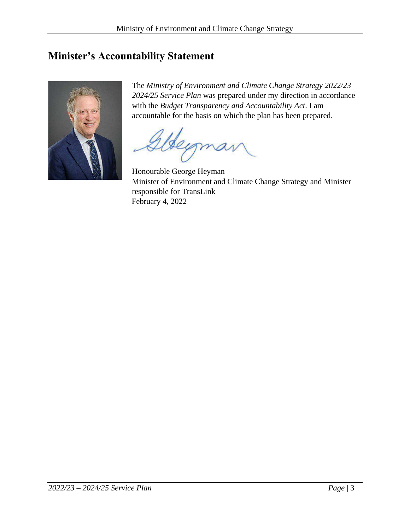### <span id="page-2-0"></span>**Minister's Accountability Statement**



The *Ministry of Environment and Climate Change Strategy 2022/23 – 2024/25 Service Plan* was prepared under my direction in accordance with the *Budget Transparency and Accountability Act*. I am accountable for the basis on which the plan has been prepared.

Honourable George Heyman Minister of Environment and Climate Change Strategy and Minister responsible for TransLink February 4, 2022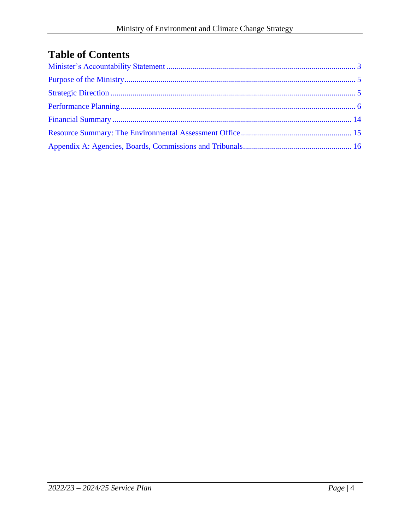# **Table of Contents**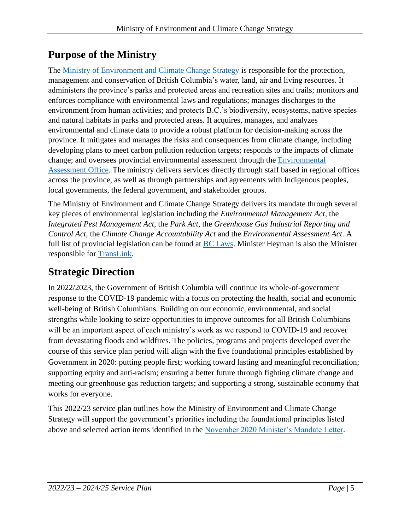# <span id="page-4-0"></span>**Purpose of the Ministry**

The [Ministry of Environment and Climate Change Strategy](https://www2.gov.bc.ca/gov/content/governments/organizational-structure/ministries-organizations/ministries/environment-climate-change) is responsible for the protection, management and conservation of British Columbia's water, land, air and living resources. It administers the province's parks and protected areas and recreation sites and trails; monitors and enforces compliance with environmental laws and regulations; manages discharges to the environment from human activities; and protects B.C.'s biodiversity, ecosystems, native species and natural habitats in parks and protected areas. It acquires, manages, and analyzes environmental and climate data to provide a robust platform for decision-making across the province. It mitigates and manages the risks and consequences from climate change, including developing plans to meet carbon pollution reduction targets; responds to the impacts of climate change; and oversees provincial environmental assessment through the [Environmental](https://www2.gov.bc.ca/gov/content/environment/natural-resource-stewardship/environmental-assessments)  [Assessment Office.](https://www2.gov.bc.ca/gov/content/environment/natural-resource-stewardship/environmental-assessments) The ministry delivers services directly through staff based in regional offices across the province, as well as through partnerships and agreements with Indigenous peoples, local governments, the federal government, and stakeholder groups.

The Ministry of Environment and Climate Change Strategy delivers its mandate through several key pieces of environmental legislation including the *Environmental Management Act*, the *Integrated Pest Management Act*, the *Park Act*, the *Greenhouse Gas Industrial Reporting and Control Act*, the *Climate Change Accountability Act* and the *Environmental Assessment Act*. A full list of provincial legislation can be found at [BC Laws.](https://www.bclaws.gov.bc.ca/) Minister Heyman is also the Minister responsible for [TransLink.](https://www.translink.ca/about-us)

# <span id="page-4-1"></span>**Strategic Direction**

In 2022/2023, the Government of British Columbia will continue its whole-of-government response to the COVID-19 pandemic with a focus on protecting the health, social and economic well-being of British Columbians. Building on our economic, environmental, and social strengths while looking to seize opportunities to improve outcomes for all British Columbians will be an important aspect of each ministry's work as we respond to COVID-19 and recover from devastating floods and wildfires. The policies, programs and projects developed over the course of this service plan period will align with the five foundational principles established by Government in 2020: putting people first; working toward lasting and meaningful reconciliation; supporting equity and anti-racism; ensuring a better future through fighting climate change and meeting our greenhouse gas reduction targets; and supporting a strong, sustainable economy that works for everyone.

This 2022/23 service plan outlines how the Ministry of Environment and Climate Change Strategy will support the government's priorities including the foundational principles listed above and selected action items identified in the [November 2020 Minister's Mandate Letter.](https://www2.gov.bc.ca/assets/gov/government/ministries-organizations/premier-cabinet-mlas/minister-letter/heyman_mandate_2020.pdf)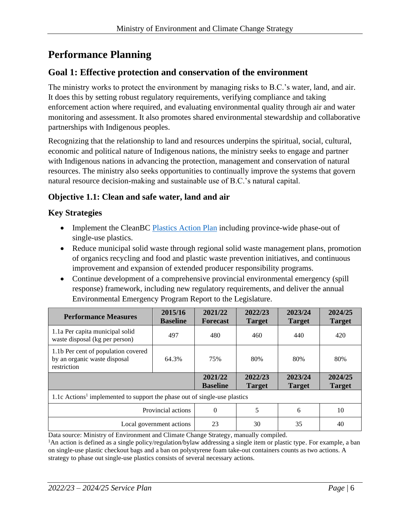# <span id="page-5-0"></span>**Performance Planning**

#### **Goal 1: Effective protection and conservation of the environment**

The ministry works to protect the environment by managing risks to B.C.'s water, land, and air. It does this by setting robust regulatory requirements, verifying compliance and taking enforcement action where required, and evaluating environmental quality through air and water monitoring and assessment. It also promotes shared environmental stewardship and collaborative partnerships with Indigenous peoples.

Recognizing that the relationship to land and resources underpins the spiritual, social, cultural, economic and political nature of Indigenous nations, the ministry seeks to engage and partner with Indigenous nations in advancing the protection, management and conservation of natural resources. The ministry also seeks opportunities to continually improve the systems that govern natural resource decision-making and sustainable use of B.C.'s natural capital.

#### **Objective 1.1: Clean and safe water, land and air**

#### **Key Strategies**

- Implement the CleanBC [Plastics Action Plan](https://cleanbc.gov.bc.ca/app/uploads/sites/436/2019/08/CleanBC_PlasticsActionPlan_ConsultationPaper_07252019_B.pdf) including province-wide phase-out of single-use plastics.
- Reduce municipal solid waste through regional solid waste management plans, promotion of organics recycling and food and plastic waste prevention initiatives, and continuous improvement and expansion of extended producer responsibility programs.
- Continue development of a comprehensive provincial environmental emergency (spill response) framework, including new regulatory requirements, and deliver the annual Environmental Emergency Program Report to the Legislature.

| <b>Performance Measures</b>                                                           | 2015/16<br><b>Baseline</b> | 2021/22<br><b>Forecast</b> | 2022/23<br><b>Target</b> | 2023/24<br><b>Target</b> | 2024/25<br><b>Target</b> |  |  |
|---------------------------------------------------------------------------------------|----------------------------|----------------------------|--------------------------|--------------------------|--------------------------|--|--|
| 1.1a Per capita municipal solid<br>waste disposal (kg per person)                     | 497                        | 480                        | 460                      | 440                      | 420                      |  |  |
| 1.1b Per cent of population covered<br>by an organic waste disposal<br>restriction    | 64.3%                      | 75%                        | 80%                      | 80%                      | 80%                      |  |  |
|                                                                                       |                            | 2021/22<br><b>Baseline</b> | 2022/23<br><b>Target</b> | 2023/24<br><b>Target</b> | 2024/25<br><b>Target</b> |  |  |
| 1.1c Actions <sup>1</sup> implemented to support the phase out of single-use plastics |                            |                            |                          |                          |                          |  |  |
| Provincial actions                                                                    |                            | $\Omega$                   | 5                        | 6                        | 10                       |  |  |
| Local government actions                                                              |                            | 23                         | 30                       | 35                       | 40                       |  |  |

Data source: Ministry of Environment and Climate Change Strategy, manually compiled.

<sup>1</sup>An action is defined as a single policy/regulation/bylaw addressing a single item or plastic type. For example, a ban on single-use plastic checkout bags and a ban on polystyrene foam take-out containers counts as two actions. A strategy to phase out single-use plastics consists of several necessary actions.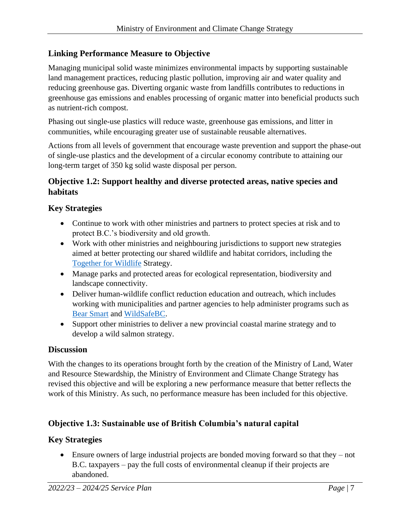#### **Linking Performance Measure to Objective**

Managing municipal solid waste minimizes environmental impacts by supporting sustainable land management practices, reducing plastic pollution, improving air and water quality and reducing greenhouse gas. Diverting organic waste from landfills contributes to reductions in greenhouse gas emissions and enables processing of organic matter into beneficial products such as nutrient-rich compost.

Phasing out single-use plastics will reduce waste, greenhouse gas emissions, and litter in communities, while encouraging greater use of sustainable reusable alternatives.

Actions from all levels of government that encourage waste prevention and support the phase-out of single-use plastics and the development of a circular economy contribute to attaining our long-term target of 350 kg solid waste disposal per person.

#### **Objective 1.2: Support healthy and diverse protected areas, native species and habitats**

#### **Key Strategies**

- Continue to work with other ministries and partners to protect species at risk and to protect B.C.'s biodiversity and old growth.
- Work with other ministries and neighbouring jurisdictions to support new strategies aimed at better protecting our shared wildlife and habitat corridors, including the [Together for Wildlife](https://www2.gov.bc.ca/gov/content/environment/plants-animals-ecosystems/wildlife/together-for-wildlife) Strategy.
- Manage parks and protected areas for ecological representation, biodiversity and landscape connectivity.
- Deliver human-wildlife conflict reduction education and outreach, which includes working with municipalities and partner agencies to help administer programs such as [Bear Smart](https://www2.gov.bc.ca/gov/content/environment/plants-animals-ecosystems/wildlife/human-wildlife-conflict/staying-safe-around-wildlife/bears/bear-smart) and [WildSafeBC.](https://wildsafebc.com/)
- Support other ministries to deliver a new provincial coastal marine strategy and to develop a wild salmon strategy.

#### **Discussion**

With the changes to its operations brought forth by the creation of the Ministry of Land, Water and Resource Stewardship, the Ministry of Environment and Climate Change Strategy has revised this objective and will be exploring a new performance measure that better reflects the work of this Ministry. As such, no performance measure has been included for this objective.

#### **Objective 1.3: Sustainable use of British Columbia's natural capital**

#### **Key Strategies**

• Ensure owners of large industrial projects are bonded moving forward so that they – not B.C. taxpayers – pay the full costs of environmental cleanup if their projects are abandoned.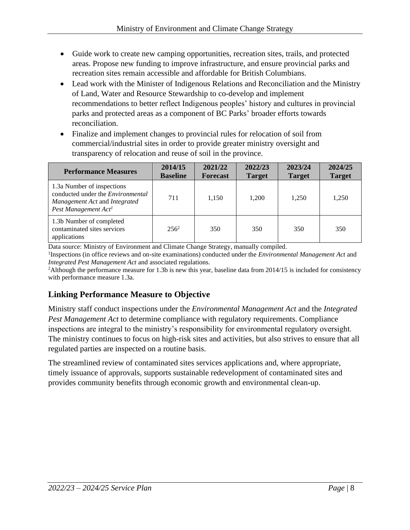- Guide work to create new camping opportunities, recreation sites, trails, and protected areas. Propose new funding to improve infrastructure, and ensure provincial parks and recreation sites remain accessible and affordable for British Columbians.
- Lead work with the Minister of Indigenous Relations and Reconciliation and the Ministry of Land, Water and Resource Stewardship to co-develop and implement recommendations to better reflect Indigenous peoples' history and cultures in provincial parks and protected areas as a component of BC Parks' broader efforts towards reconciliation.
- Finalize and implement changes to provincial rules for relocation of soil from commercial/industrial sites in order to provide greater ministry oversight and transparency of relocation and reuse of soil in the province.

| <b>Performance Measures</b>                                                                                                                 | 2014/15<br><b>Baseline</b> | 2021/22<br><b>Forecast</b> | 2022/23<br><b>Target</b> | 2023/24<br><b>Target</b> | 2024/25<br><b>Target</b> |
|---------------------------------------------------------------------------------------------------------------------------------------------|----------------------------|----------------------------|--------------------------|--------------------------|--------------------------|
| 1.3a Number of inspections<br>conducted under the <i>Environmental</i><br>Management Act and Integrated<br>Pest Management Act <sup>1</sup> | 711                        | 1,150                      | 1,200                    | 1,250                    | 1,250                    |
| 1.3b Number of completed<br>contaminated sites services<br>applications                                                                     | $256^2$                    | 350                        | 350                      | 350                      | 350                      |

Data source: Ministry of Environment and Climate Change Strategy, manually compiled.

<sup>1</sup>Inspections (in office reviews and on-site examinations) conducted under the *Environmental Management Act* and *Integrated Pest Management Act* and associated regulations.

<sup>2</sup>Although the performance measure for 1.3b is new this year, baseline data from 2014/15 is included for consistency with performance measure 1.3a.

#### **Linking Performance Measure to Objective**

Ministry staff conduct inspections under the *Environmental Management Act* and the *Integrated Pest Management Act* to determine compliance with regulatory requirements. Compliance inspections are integral to the ministry's responsibility for environmental regulatory oversight. The ministry continues to focus on high-risk sites and activities, but also strives to ensure that all regulated parties are inspected on a routine basis.

The streamlined review of contaminated sites services applications and, where appropriate, timely issuance of approvals, supports sustainable redevelopment of contaminated sites and provides community benefits through economic growth and environmental clean-up.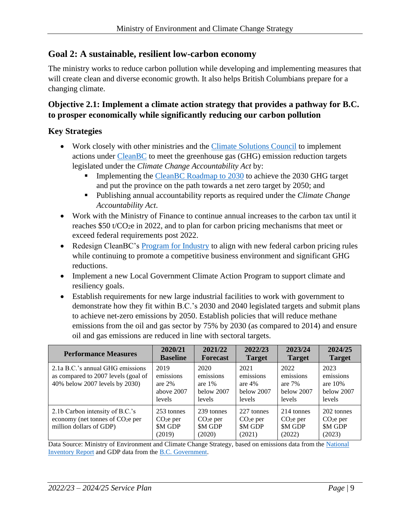#### **Goal 2: A sustainable, resilient low-carbon economy**

The ministry works to reduce carbon pollution while developing and implementing measures that will create clean and diverse economic growth. It also helps British Columbians prepare for a changing climate.

#### **Objective 2.1: Implement a climate action strategy that provides a pathway for B.C. to prosper economically while significantly reducing our carbon pollution**

#### **Key Strategies**

- Work closely with other ministries and the *Climate Solutions Council* to implement actions under [CleanBC](https://www2.gov.bc.ca/assets/gov/environment/climate-change/action/cleanbc/cleanbc_2018-bc-climate-strategy.pdf) to meet the greenhouse gas (GHG) emission reduction targets legislated under the *Climate Change Accountability Act* by:
	- Implementing the [CleanBC Roadmap to 2030](https://www2.gov.bc.ca/assets/gov/environment/climate-change/action/cleanbc/cleanbc_roadmap_2030.pdf) to achieve the 2030 GHG target and put the province on the path towards a net zero target by 2050; and
	- Publishing annual accountability reports as required under the *Climate Change Accountability Act*.
- Work with the Ministry of Finance to continue annual increases to the carbon tax until it reaches \$50 t/CO2e in 2022, and to plan for carbon pricing mechanisms that meet or exceed federal requirements post 2022.
- Redesign CleanBC's [Program for Industry](https://www2.gov.bc.ca/gov/content/environment/climate-change/industry) to align with new federal carbon pricing rules while continuing to promote a competitive business environment and significant GHG reductions.
- Implement a new Local Government Climate Action Program to support climate and resiliency goals.
- Establish requirements for new large industrial facilities to work with government to demonstrate how they fit within B.C.'s 2030 and 2040 legislated targets and submit plans to achieve net-zero emissions by 2050. Establish policies that will reduce methane emissions from the oil and gas sector by 75% by 2030 (as compared to 2014) and ensure oil and gas emissions are reduced in line with sectoral targets.

| <b>Performance Measures</b>                                                                               | 2020/21<br><b>Baseline</b>                                          | 2021/22<br><b>Forecast</b>                                          | 2022/23<br><b>Target</b>                              | 2023/24<br><b>Target</b>                              | 2024/25<br><b>Target</b>                               |
|-----------------------------------------------------------------------------------------------------------|---------------------------------------------------------------------|---------------------------------------------------------------------|-------------------------------------------------------|-------------------------------------------------------|--------------------------------------------------------|
| 2.1a B.C.'s annual GHG emissions<br>as compared to 2007 levels (goal of<br>40% below 2007 levels by 2030) | 2019<br>emissions<br>are $2%$<br>above 2007<br>levels               | 2020<br>emissions<br>are $1\%$<br>below 2007<br>levels              | 2021<br>emissions<br>are $4%$<br>below 2007<br>levels | 2022<br>emissions<br>are $7%$<br>below 2007<br>levels | 2023<br>emissions<br>are $10%$<br>below 2007<br>levels |
| 2.1b Carbon intensity of B.C.'s<br>economy (net tonnes of $CO2e$ per<br>million dollars of GDP)           | 253 tonnes<br>CO <sub>2</sub> e <sub>per</sub><br>\$M GDP<br>(2019) | 239 tonnes<br>CO <sub>2</sub> e <sub>per</sub><br>\$M GDP<br>(2020) | 227 tonnes<br>$CO2e$ per<br><b>SM GDP</b><br>(2021)   | 214 tonnes<br>$CO2e$ per<br><b>SM GDP</b><br>(2022)   | 202 tonnes<br>$CO2e$ per<br><b>SM GDP</b><br>(2023)    |

Data Source: Ministry of Environment and Climate Change Strategy, based on emissions data from the [National](https://publications.gc.ca/site/eng/9.506002/publication.html)  [Inventory Report](https://publications.gc.ca/site/eng/9.506002/publication.html) and GDP data from the B.C. [Government.](https://www2.gov.bc.ca/gov/content/data/statistics/economy/bc-economic-accounts-gdp)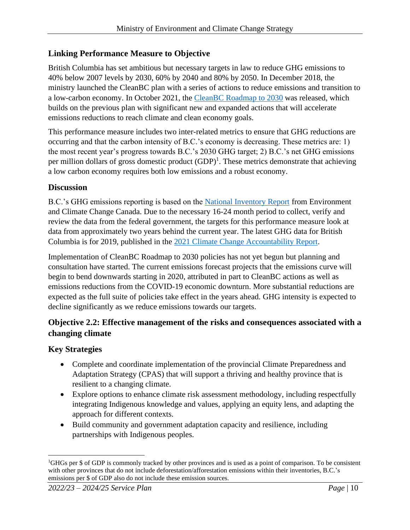#### **Linking Performance Measure to Objective**

British Columbia has set ambitious but necessary targets in law to reduce GHG emissions to 40% below 2007 levels by 2030, 60% by 2040 and 80% by 2050. In December 2018, the ministry launched the CleanBC plan with a series of actions to reduce emissions and transition to a low-carbon economy. In October 2021, the [CleanBC Roadmap to 2030](https://www2.gov.bc.ca/assets/gov/environment/climate-change/action/cleanbc/cleanbc_roadmap_2030.pdf) was released, which builds on the previous plan with significant new and expanded actions that will accelerate emissions reductions to reach climate and clean economy goals.

This performance measure includes two inter-related metrics to ensure that GHG reductions are occurring and that the carbon intensity of B.C.'s economy is decreasing. These metrics are: 1) the most recent year's progress towards B.C.'s 2030 GHG target; 2) B.C.'s net GHG emissions per million dollars of gross domestic product  $(GDP)^1$ . These metrics demonstrate that achieving a low carbon economy requires both low emissions and a robust economy.

#### **Discussion**

B.C.'s GHG emissions reporting is based on the [National Inventory Report](https://publications.gc.ca/site/eng/9.506002/publication.html) from Environment and Climate Change Canada. Due to the necessary 16-24 month period to collect, verify and review the data from the federal government, the targets for this performance measure look at data from approximately two years behind the current year. The latest GHG data for British Columbia is for 2019, published in the 2021 Climate Change [Accountability Report.](https://www2.gov.bc.ca/assets/gov/environment/climate-change/action/cleanbc/2021_climate_change_accountability_report.pdf)

Implementation of CleanBC Roadmap to 2030 policies has not yet begun but planning and consultation have started. The current emissions forecast projects that the emissions curve will begin to bend downwards starting in 2020, attributed in part to CleanBC actions as well as emissions reductions from the COVID-19 economic downturn. More substantial reductions are expected as the full suite of policies take effect in the years ahead. GHG intensity is expected to decline significantly as we reduce emissions towards our targets.

#### **Objective 2.2: Effective management of the risks and consequences associated with a changing climate**

#### **Key Strategies**

- Complete and coordinate implementation of the provincial Climate Preparedness and Adaptation Strategy (CPAS) that will support a thriving and healthy province that is resilient to a changing climate.
- Explore options to enhance climate risk assessment methodology, including respectfully integrating Indigenous knowledge and values, applying an equity lens, and adapting the approach for different contexts.
- Build community and government adaptation capacity and resilience, including partnerships with Indigenous peoples.

<sup>1</sup>GHGs per \$ of GDP is commonly tracked by other provinces and is used as a point of comparison. To be consistent with other provinces that do not include deforestation/afforestation emissions within their inventories, B.C.'s emissions per \$ of GDP also do not include these emission sources.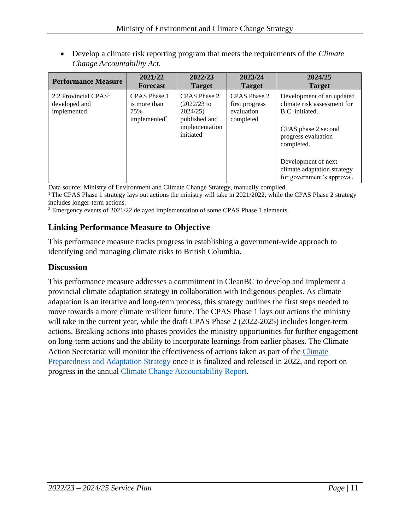• Develop a climate risk reporting program that meets the requirements of the *Climate Change Accountability Act*.

| <b>Performance Measure</b>                                       | 2021/22                                                                | 2022/23                                                                                   | 2023/24                                                   | 2024/25                                                                                                                                                                                                                     |
|------------------------------------------------------------------|------------------------------------------------------------------------|-------------------------------------------------------------------------------------------|-----------------------------------------------------------|-----------------------------------------------------------------------------------------------------------------------------------------------------------------------------------------------------------------------------|
|                                                                  | <b>Forecast</b>                                                        | <b>Target</b>                                                                             | <b>Target</b>                                             | <b>Target</b>                                                                                                                                                                                                               |
| 2.2 Provincial CPAS <sup>1</sup><br>developed and<br>implemented | <b>CPAS</b> Phase 1<br>is more than<br>75%<br>implemented <sup>2</sup> | CPAS Phase 2<br>$(2022/23)$ to<br>2024/25<br>published and<br>implementation<br>initiated | CPAS Phase 2<br>first progress<br>evaluation<br>completed | Development of an updated<br>climate risk assessment for<br>B.C. initiated.<br>CPAS phase 2 second<br>progress evaluation<br>completed.<br>Development of next<br>climate adaptation strategy<br>for government's approval. |

Data source: Ministry of Environment and Climate Change Strategy, manually compiled.

<sup>1</sup> The CPAS Phase 1 strategy lays out actions the ministry will take in 2021/2022, while the CPAS Phase 2 strategy includes longer-term actions.

<sup>2</sup> Emergency events of 2021/22 delayed implementation of some CPAS Phase 1 elements.

#### **Linking Performance Measure to Objective**

This performance measure tracks progress in establishing a government-wide approach to identifying and managing climate risks to British Columbia.

#### **Discussion**

This performance measure addresses a commitment in CleanBC to develop and implement a provincial climate adaptation strategy in collaboration with Indigenous peoples. As climate adaptation is an iterative and long-term process, this strategy outlines the first steps needed to move towards a more climate resilient future. The CPAS Phase 1 lays out actions the ministry will take in the current year, while the draft CPAS Phase 2 (2022-2025) includes longer-term actions. Breaking actions into phases provides the ministry opportunities for further engagement on long-term actions and the ability to incorporate learnings from earlier phases. The Climate Action Secretariat will monitor the effectiveness of actions taken as part of the [Climate](https://www2.gov.bc.ca/gov/content/environment/climate-change/adaptation/cpas)  [Preparedness and Adaptation Strategy](https://www2.gov.bc.ca/gov/content/environment/climate-change/adaptation/cpas) once it is finalized and released in 2022, and report on progress in the annual [Climate Change Accountability Report.](https://www2.gov.bc.ca/gov/content/environment/climate-change/planning-and-action/climate-reporting)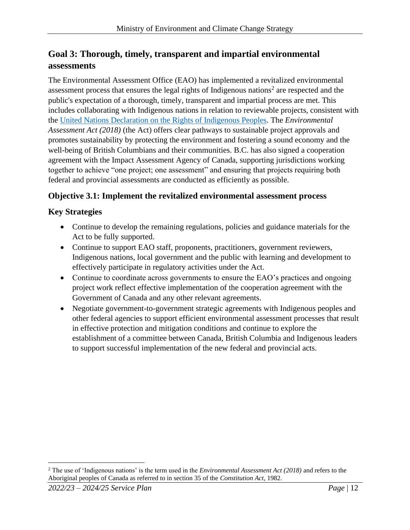### **Goal 3: Thorough, timely, transparent and impartial environmental assessments**

The Environmental Assessment Office (EAO) has implemented a revitalized environmental assessment process that ensures the legal rights of Indigenous nations<sup>2</sup> are respected and the public's expectation of a thorough, timely, transparent and impartial process are met. This includes collaborating with Indigenous nations in relation to reviewable projects, consistent with the [United Nations Declaration on the Rights of Indigenous Peoples.](https://www.un.org/development/desa/indigenouspeoples/declaration-on-the-rights-of-indigenous-peoples.html) The *Environmental Assessment Act (2018)* (the Act) offers clear pathways to sustainable project approvals and promotes sustainability by protecting the environment and fostering a sound economy and the well-being of British Columbians and their communities. B.C. has also signed a cooperation agreement with the Impact Assessment Agency of Canada, supporting jurisdictions working together to achieve "one project; one assessment" and ensuring that projects requiring both federal and provincial assessments are conducted as efficiently as possible.

#### **Objective 3.1: Implement the revitalized environmental assessment process**

#### **Key Strategies**

- Continue to develop the remaining regulations, policies and guidance materials for the Act to be fully supported.
- Continue to support EAO staff, proponents, practitioners, government reviewers, Indigenous nations, local government and the public with learning and development to effectively participate in regulatory activities under the Act.
- Continue to coordinate across governments to ensure the EAO's practices and ongoing project work reflect effective implementation of the cooperation agreement with the Government of Canada and any other relevant agreements.
- Negotiate government-to-government strategic agreements with Indigenous peoples and other federal agencies to support efficient environmental assessment processes that result in effective protection and mitigation conditions and continue to explore the establishment of a committee between Canada, British Columbia and Indigenous leaders to support successful implementation of the new federal and provincial acts.

<sup>2</sup> The use of 'Indigenous nations' is the term used in the *Environmental Assessment Act (2018)* and refers to the Aboriginal peoples of Canada as referred to in section 35 of the *Constitution Act*, 1982.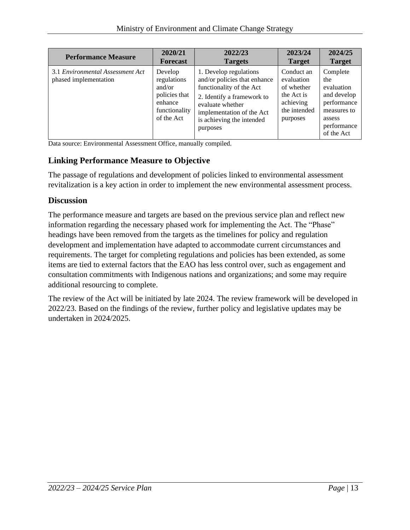| <b>Performance Measure</b>                                | 2020/21                                                                                     | 2022/23                                                                                                                                                                                                    | 2023/24                                                                                       | 2024/25                                                                                                           |
|-----------------------------------------------------------|---------------------------------------------------------------------------------------------|------------------------------------------------------------------------------------------------------------------------------------------------------------------------------------------------------------|-----------------------------------------------------------------------------------------------|-------------------------------------------------------------------------------------------------------------------|
|                                                           | <b>Forecast</b>                                                                             | <b>Targets</b>                                                                                                                                                                                             | <b>Target</b>                                                                                 | <b>Target</b>                                                                                                     |
| 3.1 Environmental Assessment Act<br>phased implementation | Develop<br>regulations<br>and/or<br>policies that<br>enhance<br>functionality<br>of the Act | 1. Develop regulations<br>and/or policies that enhance<br>functionality of the Act<br>2. Identify a framework to<br>evaluate whether<br>implementation of the Act<br>is achieving the intended<br>purposes | Conduct an<br>evaluation<br>of whether<br>the Act is<br>achieving<br>the intended<br>purposes | Complete<br>the<br>evaluation<br>and develop<br>performance<br>measures to<br>assess<br>performance<br>of the Act |

Data source: Environmental Assessment Office, manually compiled.

#### **Linking Performance Measure to Objective**

The passage of regulations and development of policies linked to environmental assessment revitalization is a key action in order to implement the new environmental assessment process.

#### **Discussion**

The performance measure and targets are based on the previous service plan and reflect new information regarding the necessary phased work for implementing the Act. The "Phase" headings have been removed from the targets as the timelines for policy and regulation development and implementation have adapted to accommodate current circumstances and requirements. The target for completing regulations and policies has been extended, as some items are tied to external factors that the EAO has less control over, such as engagement and consultation commitments with Indigenous nations and organizations; and some may require additional resourcing to complete.

The review of the Act will be initiated by late 2024. The review framework will be developed in 2022/23. Based on the findings of the review, further policy and legislative updates may be undertaken in 2024/2025.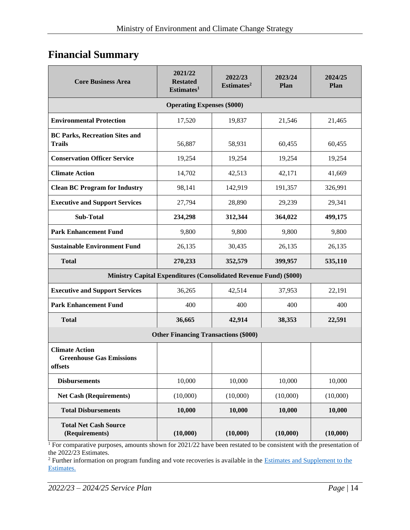## <span id="page-13-0"></span>**Financial Summary**

| <b>Core Business Area</b>                                           | 2021/22<br><b>Restated</b><br>Estimates <sup>1</sup>              | 2022/23<br>Estimates <sup>2</sup> | 2023/24<br>Plan | 2024/25<br>Plan |  |  |  |
|---------------------------------------------------------------------|-------------------------------------------------------------------|-----------------------------------|-----------------|-----------------|--|--|--|
| <b>Operating Expenses (\$000)</b>                                   |                                                                   |                                   |                 |                 |  |  |  |
| <b>Environmental Protection</b>                                     | 17,520                                                            | 19,837                            | 21,546          | 21,465          |  |  |  |
| <b>BC Parks, Recreation Sites and</b><br><b>Trails</b>              | 56,887                                                            | 58,931                            | 60,455          | 60,455          |  |  |  |
| <b>Conservation Officer Service</b>                                 | 19,254                                                            | 19,254                            | 19,254          | 19,254          |  |  |  |
| <b>Climate Action</b>                                               | 14,702                                                            | 42,513                            | 42,171          | 41,669          |  |  |  |
| <b>Clean BC Program for Industry</b>                                | 98,141                                                            | 142,919                           | 191,357         | 326,991         |  |  |  |
| <b>Executive and Support Services</b>                               | 27,794                                                            | 28,890                            | 29,239          | 29,341          |  |  |  |
| <b>Sub-Total</b>                                                    | 234,298                                                           | 312,344                           | 364,022         | 499,175         |  |  |  |
| <b>Park Enhancement Fund</b>                                        | 9,800                                                             | 9,800                             | 9,800           | 9,800           |  |  |  |
| <b>Sustainable Environment Fund</b>                                 | 26,135                                                            | 30,435                            | 26,135          | 26,135          |  |  |  |
| <b>Total</b>                                                        | 270,233                                                           | 352,579                           | 399,957         | 535,110         |  |  |  |
|                                                                     | Ministry Capital Expenditures (Consolidated Revenue Fund) (\$000) |                                   |                 |                 |  |  |  |
| <b>Executive and Support Services</b>                               | 36,265                                                            | 42,514                            | 37,953          | 22,191          |  |  |  |
| <b>Park Enhancement Fund</b>                                        | 400                                                               | 400                               | 400             | 400             |  |  |  |
| <b>Total</b>                                                        | 36,665                                                            | 42,914                            | 38,353          | 22,591          |  |  |  |
| <b>Other Financing Transactions (\$000)</b>                         |                                                                   |                                   |                 |                 |  |  |  |
| <b>Climate Action</b><br><b>Greenhouse Gas Emissions</b><br>offsets |                                                                   |                                   |                 |                 |  |  |  |
| <b>Disbursements</b>                                                | 10,000                                                            | 10,000                            | 10,000          | 10,000          |  |  |  |
| <b>Net Cash (Requirements)</b>                                      | (10,000)                                                          | (10,000)                          | (10,000)        | (10,000)        |  |  |  |
| <b>Total Disbursements</b>                                          | 10,000                                                            | 10,000                            | 10,000          | 10,000          |  |  |  |
| <b>Total Net Cash Source</b><br>(Requirements)                      | (10,000)                                                          | (10,000)                          | (10,000)        | (10,000)        |  |  |  |

<sup>1</sup> For comparative purposes, amounts shown for 2021/22 have been restated to be consistent with the presentation of the 2022/23 Estimates.

<sup>2</sup> Further information on program funding and vote recoveries is available in the Estimates and Supplement to the [Estimates.](http://www.bcbudget.gov.bc.ca/)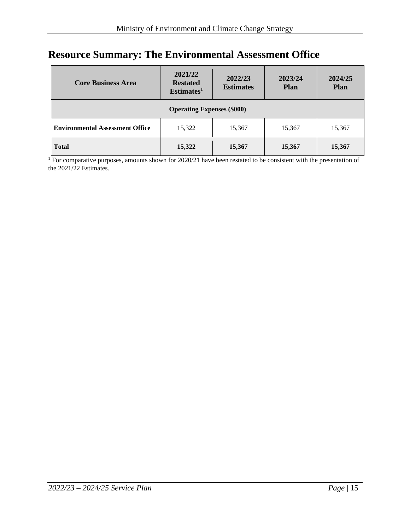# <span id="page-14-0"></span>**Resource Summary: The Environmental Assessment Office**

| <b>Core Business Area</b>                                                      | 2021/22<br><b>Restated</b><br>Estimates <sup>1</sup> | 2022/23<br><b>Estimates</b> | 2023/24<br><b>Plan</b> | 2024/25<br><b>Plan</b> |  |  |  |
|--------------------------------------------------------------------------------|------------------------------------------------------|-----------------------------|------------------------|------------------------|--|--|--|
| <b>Operating Expenses (\$000)</b>                                              |                                                      |                             |                        |                        |  |  |  |
| <b>Environmental Assessment Office</b><br>15,322<br>15,367<br>15,367<br>15,367 |                                                      |                             |                        |                        |  |  |  |
| <b>Total</b>                                                                   | 15,322                                               | 15,367                      | 15,367                 | 15,367                 |  |  |  |

<sup>1</sup> For comparative purposes, amounts shown for 2020/21 have been restated to be consistent with the presentation of the 2021/22 Estimates.